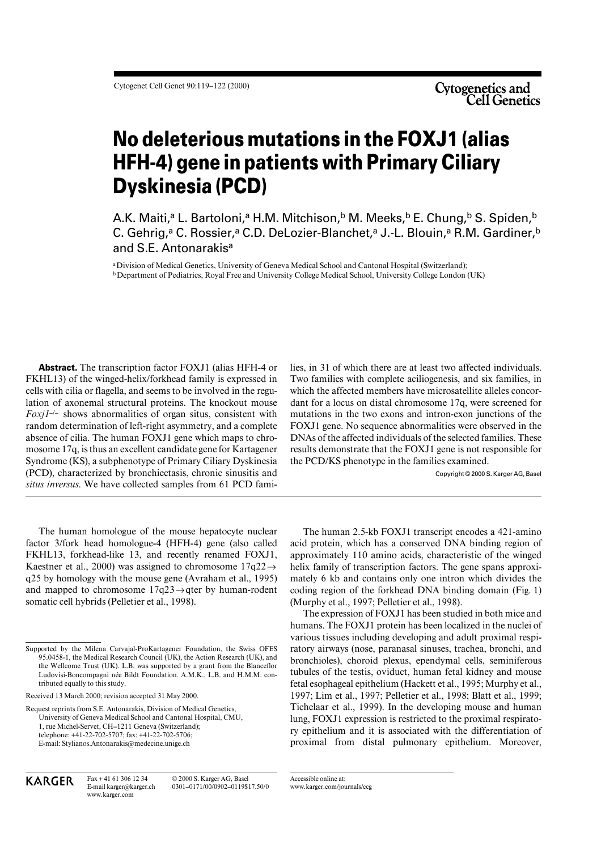# **No deleterious mutations in the FOXJ1 (alias HFH-4) gene in patients with Primary Ciliary Dyskinesia (PCD)**

A.K. Maiti,<sup>a</sup> L. Bartoloni,<sup>a</sup> H.M. Mitchison,<sup>b</sup> M. Meeks,<sup>b</sup> E. Chung,<sup>b</sup> S. Spiden,<sup>b</sup> C. Gehrig,<sup>a</sup> C. Rossier,<sup>a</sup> C.D. DeLozier-Blanchet,<sup>a</sup> J.-L. Blouin,<sup>a</sup> R.M. Gardiner,<sup>b</sup> and S.E. Antonarakis<sup>a</sup>

aDivision of Medical Genetics, University of Geneva Medical School and Cantonal Hospital (Switzerland); **b** Department of Pediatrics, Royal Free and University College Medical School, University College London (UK)

**Abstract.** The transcription factor FOXJ1 (alias HFH-4 or FKHL13) of the winged-helix/forkhead family is expressed in cells with cilia or flagella, and seems to be involved in the regulation of axonemal structural proteins. The knockout mouse *Foxj1*–/– shows abnormalities of organ situs, consistent with random determination of left-right asymmetry, and a complete absence of cilia. The human FOXJ1 gene which maps to chromosome 17q, is thus an excellent candidate gene for Kartagener Syndrome (KS), a subphenotype of Primary Ciliary Dyskinesia (PCD), characterized by bronchiectasis, chronic sinusitis and *situs inversus*. We have collected samples from 61 PCD fami-

Two families with complete aciliogenesis, and six families, in which the affected members have microsatellite alleles concordant for a locus on distal chromosome 17q, were screened for mutations in the two exons and intron-exon junctions of the FOXJ1 gene. No sequence abnormalities were observed in the DNAs of the affected individuals of the selected families. These results demonstrate that the FOXJ1 gene is not responsible for the PCD/KS phenotype in the families examined.

lies, in 31 of which there are at least two affected individuals.

Copyright © 2000 S. Karger AG, Basel

The human homologue of the mouse hepatocyte nuclear factor 3/fork head homologue-4 (HFH-4) gene (also called FKHL13, forkhead-like 13, and recently renamed FOXJ1, Kaestner et al., 2000) was assigned to chromosome  $17q22 \rightarrow$ q25 by homology with the mouse gene (Avraham et al., 1995) and mapped to chromosome 17q23→qter by human-rodent somatic cell hybrids (Pelletier et al., 1998).

Received 13 March 2000; revision accepted 31 May 2000.

Request reprints from S.E. Antonarakis, Division of Medical Genetics, University of Geneva Medical School and Cantonal Hospital, CMU, 1, rue Michel-Servet, CH–1211 Geneva (Switzerland); telephone: +41-22-702-5707; fax: +41-22-702-5706; E-mail: Stylianos.Antonarakis@medecine.unige.ch

The human 2.5-kb FOXJ1 transcript encodes a 421-amino acid protein, which has a conserved DNA binding region of approximately 110 amino acids, characteristic of the winged helix family of transcription factors. The gene spans approximately 6 kb and contains only one intron which divides the coding region of the forkhead DNA binding domain (Fig. 1) (Murphy et al., 1997; Pelletier et al., 1998).

The expression of FOXJ1 has been studied in both mice and humans. The FOXJ1 protein has been localized in the nuclei of various tissues including developing and adult proximal respiratory airways (nose, paranasal sinuses, trachea, bronchi, and bronchioles), choroid plexus, ependymal cells, seminiferous tubules of the testis, oviduct, human fetal kidney and mouse fetal esophageal epithelium (Hackett et al., 1995; Murphy et al., 1997; Lim et al., 1997; Pelletier et al., 1998; Blatt et al., 1999; Tichelaar et al., 1999). In the developing mouse and human lung, FOXJ1 expression is restricted to the proximal respiratory epithelium and it is associated with the differentiation of proximal from distal pulmonary epithelium. Moreover,

KARGER Fax + 41 61 306 12 34 E-mail karger@karger.ch www.karger.com

© 2000 S. Karger AG, Basel 0301–0171/00/0902–0119\$17.50/0 Accessible online at: www.karger.com/journals/ccg

Supported by the Milena Carvajal-ProKartagener Foundation, the Swiss OFES 95.0458-1, the Medical Research Council (UK), the Action Research (UK), and the Wellcome Trust (UK). L.B. was supported by a grant from the Blanceflor Ludovisi-Boncompagni née Bildt Foundation. A.M.K., L.B. and H.M.M. contributed equally to this study.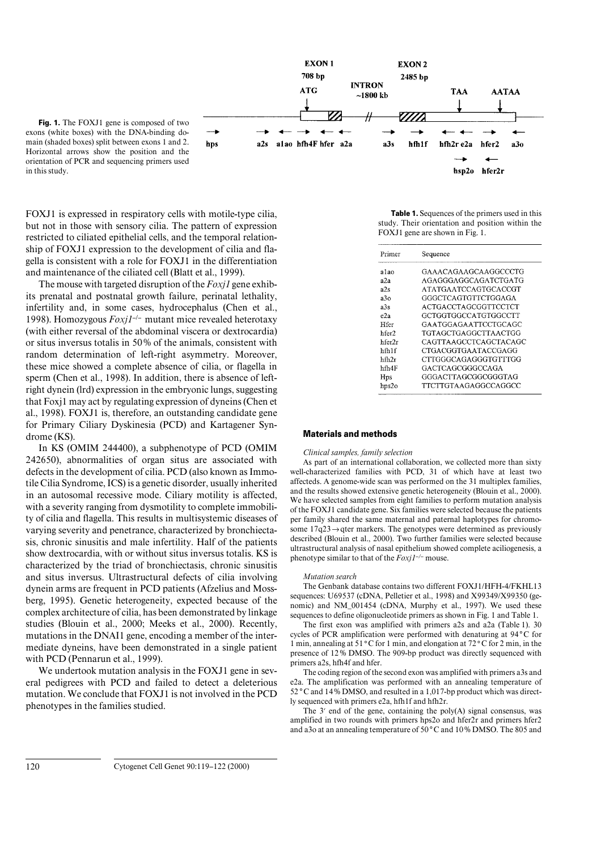

Fig. 1. The FOXJ1 gene is composed of two exons (white boxes) with the DNA-binding domain (shaded boxes) split between exons 1 and 2. Horizontal arrows show the position and the orientation of PCR and sequencing primers used in this study.

FOXJ1 is expressed in respiratory cells with motile-type cilia, but not in those with sensory cilia. The pattern of expression restricted to ciliated epithelial cells, and the temporal relationship of FOXJ1 expression to the development of cilia and flagella is consistent with a role for FOXJ1 in the differentiation and maintenance of the ciliated cell (Blatt et al., 1999).

The mouse with targeted disruption of the *Foxj1* gene exhibits prenatal and postnatal growth failure, perinatal lethality, infertility and, in some cases, hydrocephalus (Chen et al., 1998). Homozygous *Foxj1*–/– mutant mice revealed heterotaxy (with either reversal of the abdominal viscera or dextrocardia) or situs inversus totalis in 50% of the animals, consistent with random determination of left-right asymmetry. Moreover, these mice showed a complete absence of cilia, or flagella in sperm (Chen et al., 1998). In addition, there is absence of leftright dynein (lrd) expression in the embryonic lungs, suggesting that Foxj1 may act by regulating expression of dyneins (Chen et al., 1998). FOXJ1 is, therefore, an outstanding candidate gene for Primary Ciliary Dyskinesia (PCD) and Kartagener Syndrome (KS).

In KS (OMIM 244400), a subphenotype of PCD (OMIM 242650), abnormalities of organ situs are associated with defects in the development of cilia. PCD (also known as Immotile Cilia Syndrome, ICS) is a genetic disorder, usually inherited in an autosomal recessive mode. Ciliary motility is affected, with a severity ranging from dysmotility to complete immobility of cilia and flagella. This results in multisystemic diseases of varying severity and penetrance, characterized by bronchiectasis, chronic sinusitis and male infertility. Half of the patients show dextrocardia, with or without situs inversus totalis. KS is characterized by the triad of bronchiectasis, chronic sinusitis and situs inversus. Ultrastructural defects of cilia involving dynein arms are frequent in PCD patients (Afzelius and Mossberg, 1995). Genetic heterogeneity, expected because of the complex architecture of cilia, has been demonstrated by linkage studies (Blouin et al., 2000; Meeks et al., 2000). Recently, mutations in the DNAI1 gene, encoding a member of the intermediate dyneins, have been demonstrated in a single patient with PCD (Pennarun et al., 1999).

We undertook mutation analysis in the FOXJ1 gene in several pedigrees with PCD and failed to detect a deleterious mutation. We conclude that FOXJ1 is not involved in the PCD phenotypes in the families studied.

**Table 1.** Sequences of the primers used in this study. Their orientation and position within the FOXJ1 gene are shown in Fig. 1.

| Primer | Sequence              |
|--------|-----------------------|
| alao   | GAAACAGAAGCAAGGCCCTG  |
| a2a    | AGAGGGAGGCAGATCTGATG  |
| a2s    | ATATGAATCCAGTGCACCGT  |
| a3o    | GGGCTCAGTGTTCTGGAGA   |
| a3s    | ACTGACCTAGCGGTTCCTCT  |
| e2a    | GCTGGTGGCCATGTGGCCTT  |
| Hfer   | GAATGGAGAATTCCTGCAGC  |
| hfer2  | TGTAGCTGAGGCTTAACTGG  |
| hfer2r | CAGTTAAGCCTCAGCTACAGC |
| hfh1f  | CTGACGGTGAATACCGAGG   |
| hfh2r  | CTTGGGCAGAGGGTGTTTGG  |
| hfh4F  | GACTCAGCGGGCCAGA      |
| Hps    | GGGACTTAGCGGCGGGTAG   |
| hps2o  | TTCTTGTAAGAGGCCAGGCC  |

## **Materials and methods**

## *Clinical samples, family selection*

As part of an international collaboration, we collected more than sixty well-characterized families with PCD, 31 of which have at least two affecteds. A genome-wide scan was performed on the 31 multiplex families, and the results showed extensive genetic heterogeneity (Blouin et al., 2000). We have selected samples from eight families to perform mutation analysis of the FOXJ1 candidate gene. Six families were selected because the patients per family shared the same maternal and paternal haplotypes for chromosome 17q23→qter markers. The genotypes were determined as previously described (Blouin et al., 2000). Two further families were selected because ultrastructural analysis of nasal epithelium showed complete aciliogenesis, a phenotype similar to that of the *Foxj1–/–* mouse.

#### *Mutation search*

The Genbank database contains two different FOXJ1/HFH-4/FKHL13 sequences: U69537 (cDNA, Pelletier et al., 1998) and X99349/X99350 (genomic) and NM\_001454 (cDNA, Murphy et al., 1997). We used these sequences to define oligonucleotide primers as shown in Fig. 1 and Table 1.

The first exon was amplified with primers a2s and a2a (Table 1). 30 cycles of PCR amplification were performed with denaturing at 94**°**C for 1 min, annealing at 51**°**C for 1 min, and elongation at 72**°**C for 2 min, in the presence of 12% DMSO. The 909-bp product was directly sequenced with primers a2s, hfh4f and hfer.

The coding region of the second exon was amplified with primers a3s and e2a. The amplification was performed with an annealing temperature of 52 **°**C and 14% DMSO, and resulted in a 1,017-bp product which was directly sequenced with primers e2a, hfh1f and hfh2r.

The  $3'$  end of the gene, containing the poly(A) signal consensus, was amplified in two rounds with primers hps2o and hfer2r and primers hfer2 and a3o at an annealing temperature of 50**°**C and 10% DMSO. The 805 and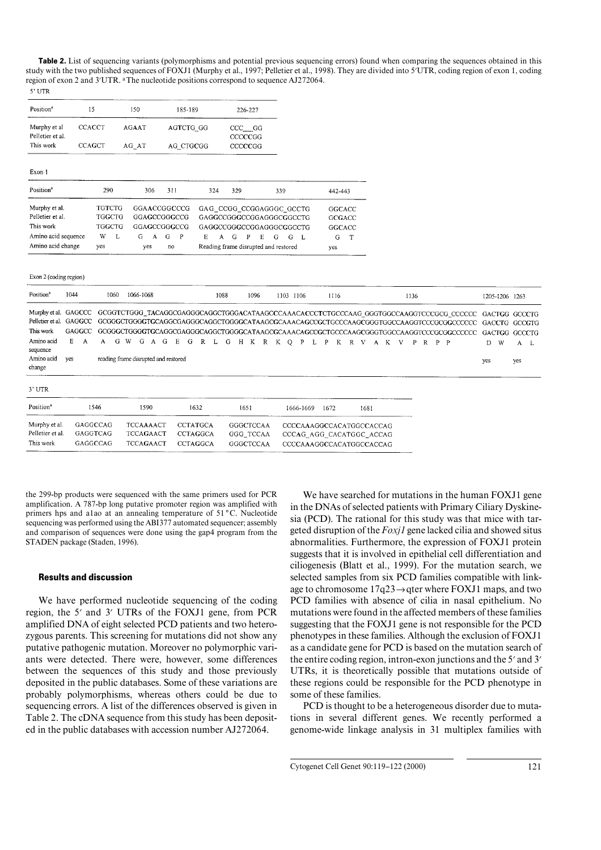**Table 2.** List of sequencing variants (polymorphisms and potential previous sequencing errors) found when comparing the sequences obtained in this study with the two published sequences of FOXJ1 (Murphy et al., 1997; Pelletier et al., 1998). They are divided into 5'UTR, coding region of exon 1, coding region of exon 2 and 3'UTR. <sup>a</sup>The nucleotide positions correspond to sequence AJ272064.  $5'$  UTR

| Position <sup>a</sup>            | 15            |               |      | 150           |   | 185-189   |              | 226-227                              |         |                       |   |      |   |           |         |  |      |             |
|----------------------------------|---------------|---------------|------|---------------|---|-----------|--------------|--------------------------------------|---------|-----------------------|---|------|---|-----------|---------|--|------|-------------|
| Murphy et al<br>Pelletier et al. | <b>CCACCT</b> |               |      | <b>AGAAT</b>  |   |           |              | AGTCTG GG                            |         | $CCC$ $GG$<br>CCCCCGG |   |      |   |           |         |  |      |             |
| This work                        | <b>CCAGCT</b> |               |      | AG AT         |   | AG CTGCGG |              |                                      | CCCCCGG |                       |   |      |   |           |         |  |      |             |
| Exon 1                           |               |               |      |               |   |           |              |                                      |         |                       |   |      |   |           |         |  |      |             |
| Position <sup>a</sup>            |               | 290           | 306  | 311           |   | 324       |              | 329                                  |         |                       |   | 339  |   |           | 442-443 |  |      |             |
| Murphy et al.                    |               | <b>TGTCTG</b> |      |               |   |           | GGAACCGGCCCG | GAG CCGG CCGGAGGGC GCCTG             |         |                       |   |      |   |           |         |  |      | GGCACC      |
| Pelletier et al.                 |               | TGGCTG        |      | GGAGCCGGGCCG  |   |           |              | GAGGCCGGGCCGGAGGGCGGCCTG             |         |                       |   |      |   |           |         |  |      | GCGACC      |
| This work                        |               | TGGCTG        |      | GGAGCCGGGCCCG |   |           |              | GAGGCCGGGCCGGAGGGCGGCCTG             |         |                       |   |      |   |           |         |  |      | GGCACC      |
| Amino acid sequence              |               | W             | L    | G             | A | G         | $\mathbf{P}$ | Е                                    | A       | G                     | P | E    | G | G         | - L     |  | G    | $\mathbf T$ |
| Amino acid change                |               | yes           |      | yes           |   | no        |              | Reading frame disrupted and restored |         |                       |   |      |   |           |         |  | yes  |             |
|                                  |               |               |      |               |   |           |              |                                      |         |                       |   |      |   |           |         |  |      |             |
| Exon 2 (coding region)           |               |               |      |               |   |           |              |                                      |         |                       |   |      |   |           |         |  |      |             |
| Position <sup>a</sup><br>1044    |               |               | 1060 | 1066-1068     |   |           |              |                                      | 1088    |                       |   | 1096 |   | 1103 1106 |         |  | 1116 |             |

| Position <sup>a</sup>                                                                                                                                                                                         | 1044                               | 1060<br>1066-1068                                                                                                                                                                                                                               |        |                                                          |   |                                                | 1088 |   | 1096 |                                                   |   | 1103 1106 |                                                                                  |      | 1116 |       |      |  |  | 1136 |              |  | 1205-1206 1263 |           |                    |     |     |
|---------------------------------------------------------------------------------------------------------------------------------------------------------------------------------------------------------------|------------------------------------|-------------------------------------------------------------------------------------------------------------------------------------------------------------------------------------------------------------------------------------------------|--------|----------------------------------------------------------|---|------------------------------------------------|------|---|------|---------------------------------------------------|---|-----------|----------------------------------------------------------------------------------|------|------|-------|------|--|--|------|--------------|--|----------------|-----------|--------------------|-----|-----|
| Murphy et al. GAGCCC GCGGTCTGGG TACAGGCGAGGGCAGGCTGGGACATAAGCCCAAACACCCTCTGCCCAAG GGGTGGCCAAGGTCCCGCG CCCCCC GACTGG GCCCTG<br>Pelletier et al.<br>This work<br>Amino acid<br>sequence<br>Amino acid<br>change | GAGGCC<br>GAGGCC<br>E.<br>A<br>ves | GCGGGCTGGGGTGCAGGCGAGGCAGGCTGGGGCATAAGCGCAAACAGCCGCTGCCCAAGCGGTGGCCAAGGTCCCGCGCCCCCCC GACCTG GCCGTG<br>GCGGGCTGGGGTGCAGGCGAGGCCAGGCTGGGGCATAAGCGCAAACAGCCGCTGCCCAAGCGGGTGGCCAAGGTCCCGCGCCCCCC<br>G<br>A<br>reading frame disrupted and restored | W<br>G | G<br>A                                                   | E | G<br>R                                         | L    | G | H K  | R                                                 | K | $\circ$   | P<br>$\mathbf{L}$                                                                | P.   |      | K R V |      |  |  |      | AK V P R P P |  |                | D.<br>yes | GACTGG GCCCTG<br>W | yes | A L |
| 3' UTR                                                                                                                                                                                                        |                                    |                                                                                                                                                                                                                                                 |        |                                                          |   |                                                |      |   |      |                                                   |   |           |                                                                                  |      |      |       |      |  |  |      |              |  |                |           |                    |     |     |
| Position <sup>a</sup>                                                                                                                                                                                         |                                    | 1546                                                                                                                                                                                                                                            | 1590   |                                                          |   | 1632                                           |      |   | 1651 |                                                   |   |           | 1666-1669                                                                        | 1672 |      |       | 1681 |  |  |      |              |  |                |           |                    |     |     |
| Murphy et al.<br>Pelletier et al.<br>This work                                                                                                                                                                | GAGGCCAG<br>GAGGTCAG<br>GAGGCCAG   |                                                                                                                                                                                                                                                 |        | <b>TCCAAAACT</b><br><b>TCCAGAACT</b><br><b>TCCAGAACT</b> |   | <b>CCTATGCA</b><br>CCTAGGCA<br><b>CCTAGGCA</b> |      |   |      | <b>GGGCTCCAA</b><br>GGG TCCAA<br><b>GGGCTCCAA</b> |   |           | CCCCAAAGGCCACATGGCCACCAG<br>CCCAG AGG CACATGGC ACCAG<br>CCCCAAAGGCCACATGGCCACCAG |      |      |       |      |  |  |      |              |  |                |           |                    |     |     |

the 299-bp products were sequenced with the same primers used for PCR amplification. A 787-bp long putative promoter region was amplified with primers hps and a1ao at an annealing temperature of 51 **°**C. Nucleotide sequencing was performed using the ABI377 automated sequencer; assembly and comparison of sequences were done using the gap4 program from the STADEN package (Staden, 1996).

## **Results and discussion**

We have performed nucleotide sequencing of the coding region, the 5' and 3' UTRs of the FOXJ1 gene, from PCR amplified DNA of eight selected PCD patients and two heterozygous parents. This screening for mutations did not show any putative pathogenic mutation. Moreover no polymorphic variants were detected. There were, however, some differences between the sequences of this study and those previously deposited in the public databases. Some of these variations are probably polymorphisms, whereas others could be due to sequencing errors. A list of the differences observed is given in Table 2. The cDNA sequence from this study has been deposited in the public databases with accession number AJ272064.

We have searched for mutations in the human FOXJ1 gene in the DNAs of selected patients with Primary Ciliary Dyskinesia (PCD). The rational for this study was that mice with targeted disruption of the *Foxj1* gene lacked cilia and showed situs abnormalities. Furthermore, the expression of FOXJ1 protein suggests that it is involved in epithelial cell differentiation and ciliogenesis (Blatt et al., 1999). For the mutation search, we selected samples from six PCD families compatible with linkage to chromosome 17q23→qter where FOXJ1 maps, and two PCD families with absence of cilia in nasal epithelium. No mutations were found in the affected members of these families suggesting that the FOXJ1 gene is not responsible for the PCD phenotypes in these families. Although the exclusion of FOXJ1 as a candidate gene for PCD is based on the mutation search of the entire coding region, intron-exon junctions and the  $5'$  and  $3'$ UTRs, it is theoretically possible that mutations outside of these regions could be responsible for the PCD phenotype in some of these families.

PCD is thought to be a heterogeneous disorder due to mutations in several different genes. We recently performed a genome-wide linkage analysis in 31 multiplex families with